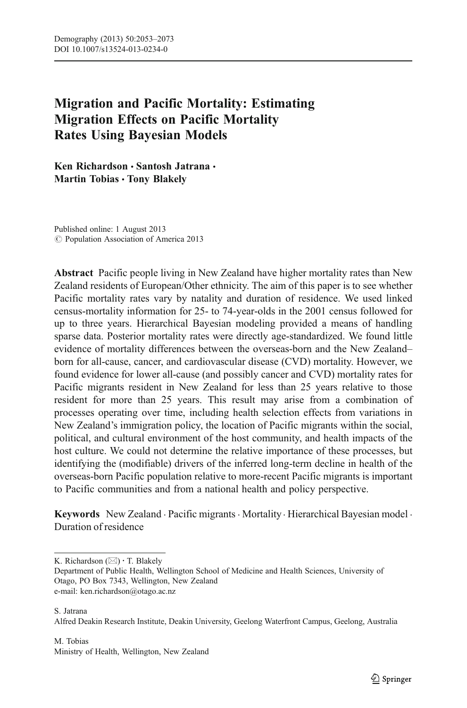# Migration and Pacific Mortality: Estimating Migration Effects on Pacific Mortality Rates Using Bayesian Models

Ken Richardson · Santosh Jatrana · Martin Tobias . Tony Blakely

Published online: 1 August 2013 C Population Association of America 2013

Abstract Pacific people living in New Zealand have higher mortality rates than New Zealand residents of European/Other ethnicity. The aim of this paper is to see whether Pacific mortality rates vary by natality and duration of residence. We used linked census-mortality information for 25- to 74-year-olds in the 2001 census followed for up to three years. Hierarchical Bayesian modeling provided a means of handling sparse data. Posterior mortality rates were directly age-standardized. We found little evidence of mortality differences between the overseas-born and the New Zealand– born for all-cause, cancer, and cardiovascular disease (CVD) mortality. However, we found evidence for lower all-cause (and possibly cancer and CVD) mortality rates for Pacific migrants resident in New Zealand for less than 25 years relative to those resident for more than 25 years. This result may arise from a combination of processes operating over time, including health selection effects from variations in New Zealand's immigration policy, the location of Pacific migrants within the social, political, and cultural environment of the host community, and health impacts of the host culture. We could not determine the relative importance of these processes, but identifying the (modifiable) drivers of the inferred long-term decline in health of the overseas-born Pacific population relative to more-recent Pacific migrants is important to Pacific communities and from a national health and policy perspective.

Keywords New Zealand . Pacific migrants . Mortality. Hierarchical Bayesian model . Duration of residence

K. Richardson  $(\boxtimes) \cdot$  T. Blakely

Department of Public Health, Wellington School of Medicine and Health Sciences, University of Otago, PO Box 7343, Wellington, New Zealand e-mail: ken.richardson@otago.ac.nz

S. Jatrana

Alfred Deakin Research Institute, Deakin University, Geelong Waterfront Campus, Geelong, Australia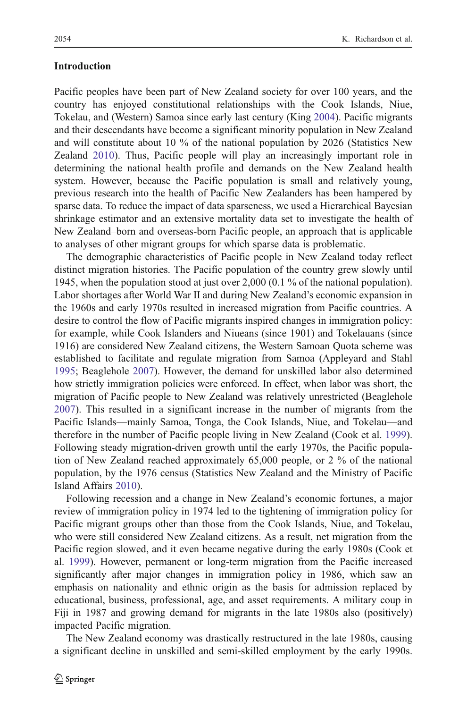# <span id="page-1-0"></span>Introduction

Pacific peoples have been part of New Zealand society for over 100 years, and the country has enjoyed constitutional relationships with the Cook Islands, Niue, Tokelau, and (Western) Samoa since early last century (King [2004](#page-20-0)). Pacific migrants and their descendants have become a significant minority population in New Zealand and will constitute about 10 % of the national population by 2026 (Statistics New Zealand [2010\)](#page-20-0). Thus, Pacific people will play an increasingly important role in determining the national health profile and demands on the New Zealand health system. However, because the Pacific population is small and relatively young, previous research into the health of Pacific New Zealanders has been hampered by sparse data. To reduce the impact of data sparseness, we used a Hierarchical Bayesian shrinkage estimator and an extensive mortality data set to investigate the health of New Zealand–born and overseas-born Pacific people, an approach that is applicable to analyses of other migrant groups for which sparse data is problematic.

The demographic characteristics of Pacific people in New Zealand today reflect distinct migration histories. The Pacific population of the country grew slowly until 1945, when the population stood at just over 2,000 (0.1 % of the national population). Labor shortages after World War II and during New Zealand's economic expansion in the 1960s and early 1970s resulted in increased migration from Pacific countries. A desire to control the flow of Pacific migrants inspired changes in immigration policy: for example, while Cook Islanders and Niueans (since 1901) and Tokelauans (since 1916) are considered New Zealand citizens, the Western Samoan Quota scheme was established to facilitate and regulate migration from Samoa (Appleyard and Stahl [1995;](#page-19-0) Beaglehole [2007](#page-19-0)). However, the demand for unskilled labor also determined how strictly immigration policies were enforced. In effect, when labor was short, the migration of Pacific people to New Zealand was relatively unrestricted (Beaglehole [2007\)](#page-19-0). This resulted in a significant increase in the number of migrants from the Pacific Islands—mainly Samoa, Tonga, the Cook Islands, Niue, and Tokelau—and therefore in the number of Pacific people living in New Zealand (Cook et al. [1999\)](#page-19-0). Following steady migration-driven growth until the early 1970s, the Pacific population of New Zealand reached approximately 65,000 people, or 2 % of the national population, by the 1976 census (Statistics New Zealand and the Ministry of Pacific Island Affairs [2010\)](#page-20-0).

Following recession and a change in New Zealand's economic fortunes, a major review of immigration policy in 1974 led to the tightening of immigration policy for Pacific migrant groups other than those from the Cook Islands, Niue, and Tokelau, who were still considered New Zealand citizens. As a result, net migration from the Pacific region slowed, and it even became negative during the early 1980s (Cook et al. [1999\)](#page-19-0). However, permanent or long-term migration from the Pacific increased significantly after major changes in immigration policy in 1986, which saw an emphasis on nationality and ethnic origin as the basis for admission replaced by educational, business, professional, age, and asset requirements. A military coup in Fiji in 1987 and growing demand for migrants in the late 1980s also (positively) impacted Pacific migration.

The New Zealand economy was drastically restructured in the late 1980s, causing a significant decline in unskilled and semi-skilled employment by the early 1990s.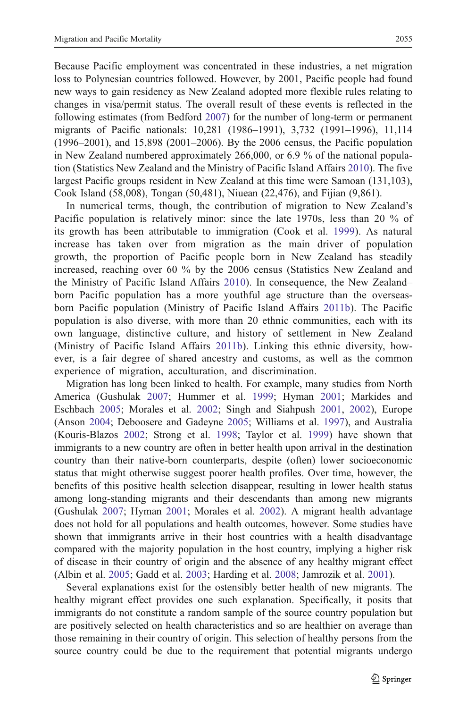Because Pacific employment was concentrated in these industries, a net migration loss to Polynesian countries followed. However, by 2001, Pacific people had found new ways to gain residency as New Zealand adopted more flexible rules relating to changes in visa/permit status. The overall result of these events is reflected in the following estimates (from Bedford [2007](#page-19-0)) for the number of long-term or permanent migrants of Pacific nationals: 10,281 (1986–1991), 3,732 (1991–1996), 11,114 (1996–2001), and 15,898 (2001–2006). By the 2006 census, the Pacific population in New Zealand numbered approximately 266,000, or 6.9 % of the national population (Statistics New Zealand and the Ministry of Pacific Island Affairs [2010\)](#page-20-0). The five largest Pacific groups resident in New Zealand at this time were Samoan (131,103), Cook Island (58,008), Tongan (50,481), Niuean (22,476), and Fijian (9,861).

In numerical terms, though, the contribution of migration to New Zealand's Pacific population is relatively minor: since the late 1970s, less than 20 % of its growth has been attributable to immigration (Cook et al. [1999](#page-19-0)). As natural increase has taken over from migration as the main driver of population growth, the proportion of Pacific people born in New Zealand has steadily increased, reaching over 60 % by the 2006 census (Statistics New Zealand and the Ministry of Pacific Island Affairs [2010](#page-20-0)). In consequence, the New Zealand– born Pacific population has a more youthful age structure than the overseasborn Pacific population (Ministry of Pacific Island Affairs [2011b\)](#page-20-0). The Pacific population is also diverse, with more than 20 ethnic communities, each with its own language, distinctive culture, and history of settlement in New Zealand (Ministry of Pacific Island Affairs [2011b](#page-20-0)). Linking this ethnic diversity, however, is a fair degree of shared ancestry and customs, as well as the common experience of migration, acculturation, and discrimination.

Migration has long been linked to health. For example, many studies from North America (Gushulak [2007](#page-19-0); Hummer et al. [1999](#page-20-0); Hyman [2001;](#page-20-0) Markides and Eschbach [2005;](#page-20-0) Morales et al. [2002](#page-20-0); Singh and Siahpush [2001,](#page-20-0) [2002](#page-20-0)), Europe (Anson [2004](#page-19-0); Deboosere and Gadeyne [2005](#page-19-0); Williams et al. [1997\)](#page-20-0), and Australia (Kouris-Blazos [2002;](#page-20-0) Strong et al. [1998;](#page-20-0) Taylor et al. [1999\)](#page-20-0) have shown that immigrants to a new country are often in better health upon arrival in the destination country than their native-born counterparts, despite (often) lower socioeconomic status that might otherwise suggest poorer health profiles. Over time, however, the benefits of this positive health selection disappear, resulting in lower health status among long-standing migrants and their descendants than among new migrants (Gushulak [2007](#page-19-0); Hyman [2001](#page-20-0); Morales et al. [2002](#page-20-0)). A migrant health advantage does not hold for all populations and health outcomes, however. Some studies have shown that immigrants arrive in their host countries with a health disadvantage compared with the majority population in the host country, implying a higher risk of disease in their country of origin and the absence of any healthy migrant effect (Albin et al. [2005](#page-19-0); Gadd et al. [2003](#page-19-0); Harding et al. [2008;](#page-19-0) Jamrozik et al. [2001](#page-20-0)).

Several explanations exist for the ostensibly better health of new migrants. The healthy migrant effect provides one such explanation. Specifically, it posits that immigrants do not constitute a random sample of the source country population but are positively selected on health characteristics and so are healthier on average than those remaining in their country of origin. This selection of healthy persons from the source country could be due to the requirement that potential migrants undergo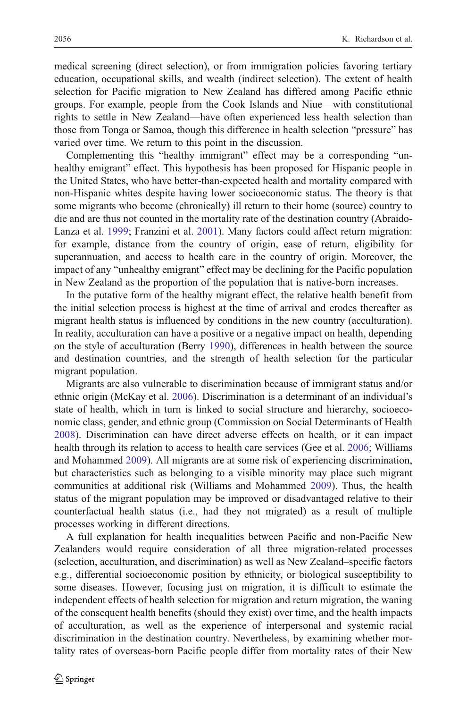medical screening (direct selection), or from immigration policies favoring tertiary education, occupational skills, and wealth (indirect selection). The extent of health selection for Pacific migration to New Zealand has differed among Pacific ethnic groups. For example, people from the Cook Islands and Niue—with constitutional rights to settle in New Zealand—have often experienced less health selection than those from Tonga or Samoa, though this difference in health selection "pressure" has varied over time. We return to this point in the discussion.

Complementing this "healthy immigrant" effect may be a corresponding "unhealthy emigrant" effect. This hypothesis has been proposed for Hispanic people in the United States, who have better-than-expected health and mortality compared with non-Hispanic whites despite having lower socioeconomic status. The theory is that some migrants who become (chronically) ill return to their home (source) country to die and are thus not counted in the mortality rate of the destination country (Abraido-Lanza et al. [1999;](#page-19-0) Franzini et al. [2001](#page-19-0)). Many factors could affect return migration: for example, distance from the country of origin, ease of return, eligibility for superannuation, and access to health care in the country of origin. Moreover, the impact of any "unhealthy emigrant" effect may be declining for the Pacific population in New Zealand as the proportion of the population that is native-born increases.

In the putative form of the healthy migrant effect, the relative health benefit from the initial selection process is highest at the time of arrival and erodes thereafter as migrant health status is influenced by conditions in the new country (acculturation). In reality, acculturation can have a positive or a negative impact on health, depending on the style of acculturation (Berry [1990\)](#page-19-0), differences in health between the source and destination countries, and the strength of health selection for the particular migrant population.

Migrants are also vulnerable to discrimination because of immigrant status and/or ethnic origin (McKay et al. [2006\)](#page-20-0). Discrimination is a determinant of an individual's state of health, which in turn is linked to social structure and hierarchy, socioeconomic class, gender, and ethnic group (Commission on Social Determinants of Health [2008\)](#page-19-0). Discrimination can have direct adverse effects on health, or it can impact health through its relation to access to health care services (Gee et al. [2006](#page-19-0); Williams and Mohammed [2009\)](#page-20-0). All migrants are at some risk of experiencing discrimination, but characteristics such as belonging to a visible minority may place such migrant communities at additional risk (Williams and Mohammed [2009](#page-20-0)). Thus, the health status of the migrant population may be improved or disadvantaged relative to their counterfactual health status (i.e., had they not migrated) as a result of multiple processes working in different directions.

A full explanation for health inequalities between Pacific and non-Pacific New Zealanders would require consideration of all three migration-related processes (selection, acculturation, and discrimination) as well as New Zealand–specific factors e.g., differential socioeconomic position by ethnicity, or biological susceptibility to some diseases. However, focusing just on migration, it is difficult to estimate the independent effects of health selection for migration and return migration, the waning of the consequent health benefits (should they exist) over time, and the health impacts of acculturation, as well as the experience of interpersonal and systemic racial discrimination in the destination country. Nevertheless, by examining whether mortality rates of overseas-born Pacific people differ from mortality rates of their New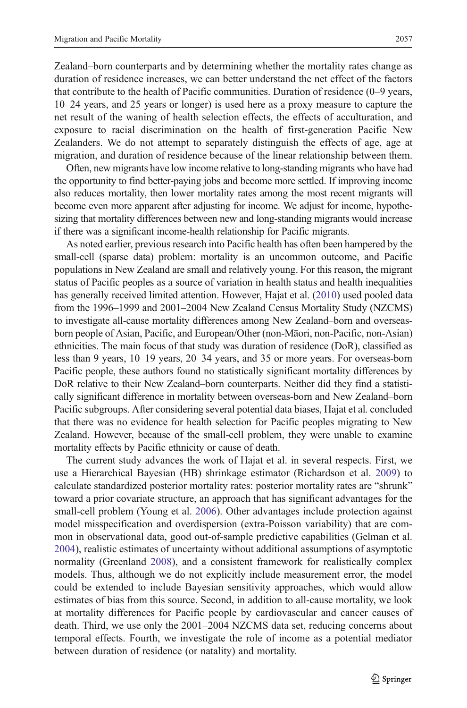Zealand–born counterparts and by determining whether the mortality rates change as duration of residence increases, we can better understand the net effect of the factors that contribute to the health of Pacific communities. Duration of residence (0–9 years, 10–24 years, and 25 years or longer) is used here as a proxy measure to capture the net result of the waning of health selection effects, the effects of acculturation, and exposure to racial discrimination on the health of first-generation Pacific New Zealanders. We do not attempt to separately distinguish the effects of age, age at migration, and duration of residence because of the linear relationship between them.

Often, new migrants have low income relative to long-standing migrants who have had the opportunity to find better-paying jobs and become more settled. If improving income also reduces mortality, then lower mortality rates among the most recent migrants will become even more apparent after adjusting for income. We adjust for income, hypothesizing that mortality differences between new and long-standing migrants would increase if there was a significant income-health relationship for Pacific migrants.

As noted earlier, previous research into Pacific health has often been hampered by the small-cell (sparse data) problem: mortality is an uncommon outcome, and Pacific populations in New Zealand are small and relatively young. For this reason, the migrant status of Pacific peoples as a source of variation in health status and health inequalities has generally received limited attention. However, Hajat et al. [\(2010\)](#page-19-0) used pooled data from the 1996–1999 and 2001–2004 New Zealand Census Mortality Study (NZCMS) to investigate all-cause mortality differences among New Zealand–born and overseasborn people of Asian, Pacific, and European/Other (non-Māori, non-Pacific, non-Asian) ethnicities. The main focus of that study was duration of residence (DoR), classified as less than 9 years, 10–19 years, 20–34 years, and 35 or more years. For overseas-born Pacific people, these authors found no statistically significant mortality differences by DoR relative to their New Zealand–born counterparts. Neither did they find a statistically significant difference in mortality between overseas-born and New Zealand–born Pacific subgroups. After considering several potential data biases, Hajat et al. concluded that there was no evidence for health selection for Pacific peoples migrating to New Zealand. However, because of the small-cell problem, they were unable to examine mortality effects by Pacific ethnicity or cause of death.

The current study advances the work of Hajat et al. in several respects. First, we use a Hierarchical Bayesian (HB) shrinkage estimator (Richardson et al. [2009](#page-20-0)) to calculate standardized posterior mortality rates: posterior mortality rates are "shrunk" toward a prior covariate structure, an approach that has significant advantages for the small-cell problem (Young et al. [2006\)](#page-20-0). Other advantages include protection against model misspecification and overdispersion (extra-Poisson variability) that are common in observational data, good out-of-sample predictive capabilities (Gelman et al. [2004\)](#page-19-0), realistic estimates of uncertainty without additional assumptions of asymptotic normality (Greenland [2008\)](#page-19-0), and a consistent framework for realistically complex models. Thus, although we do not explicitly include measurement error, the model could be extended to include Bayesian sensitivity approaches, which would allow estimates of bias from this source. Second, in addition to all-cause mortality, we look at mortality differences for Pacific people by cardiovascular and cancer causes of death. Third, we use only the 2001–2004 NZCMS data set, reducing concerns about temporal effects. Fourth, we investigate the role of income as a potential mediator between duration of residence (or natality) and mortality.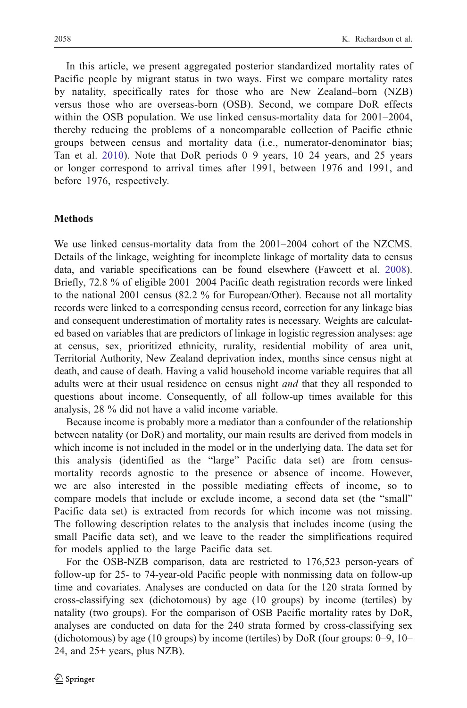In this article, we present aggregated posterior standardized mortality rates of Pacific people by migrant status in two ways. First we compare mortality rates by natality, specifically rates for those who are New Zealand–born (NZB) versus those who are overseas-born (OSB). Second, we compare DoR effects within the OSB population. We use linked census-mortality data for 2001–2004, thereby reducing the problems of a noncomparable collection of Pacific ethnic groups between census and mortality data (i.e., numerator-denominator bias; Tan et al. [2010\)](#page-20-0). Note that DoR periods 0–9 years, 10–24 years, and 25 years or longer correspond to arrival times after 1991, between 1976 and 1991, and before 1976, respectively.

#### Methods

We use linked census-mortality data from the 2001–2004 cohort of the NZCMS. Details of the linkage, weighting for incomplete linkage of mortality data to census data, and variable specifications can be found elsewhere (Fawcett et al. [2008\)](#page-19-0). Briefly, 72.8 % of eligible 2001–2004 Pacific death registration records were linked to the national 2001 census (82.2 % for European/Other). Because not all mortality records were linked to a corresponding census record, correction for any linkage bias and consequent underestimation of mortality rates is necessary. Weights are calculated based on variables that are predictors of linkage in logistic regression analyses: age at census, sex, prioritized ethnicity, rurality, residential mobility of area unit, Territorial Authority, New Zealand deprivation index, months since census night at death, and cause of death. Having a valid household income variable requires that all adults were at their usual residence on census night *and* that they all responded to questions about income. Consequently, of all follow-up times available for this analysis, 28 % did not have a valid income variable.

Because income is probably more a mediator than a confounder of the relationship between natality (or DoR) and mortality, our main results are derived from models in which income is not included in the model or in the underlying data. The data set for this analysis (identified as the "large" Pacific data set) are from censusmortality records agnostic to the presence or absence of income. However, we are also interested in the possible mediating effects of income, so to compare models that include or exclude income, a second data set (the "small" Pacific data set) is extracted from records for which income was not missing. The following description relates to the analysis that includes income (using the small Pacific data set), and we leave to the reader the simplifications required for models applied to the large Pacific data set.

For the OSB-NZB comparison, data are restricted to 176,523 person-years of follow-up for 25- to 74-year-old Pacific people with nonmissing data on follow-up time and covariates. Analyses are conducted on data for the 120 strata formed by cross-classifying sex (dichotomous) by age (10 groups) by income (tertiles) by natality (two groups). For the comparison of OSB Pacific mortality rates by DoR, analyses are conducted on data for the 240 strata formed by cross-classifying sex (dichotomous) by age (10 groups) by income (tertiles) by DoR (four groups: 0–9, 10– 24, and 25+ years, plus NZB).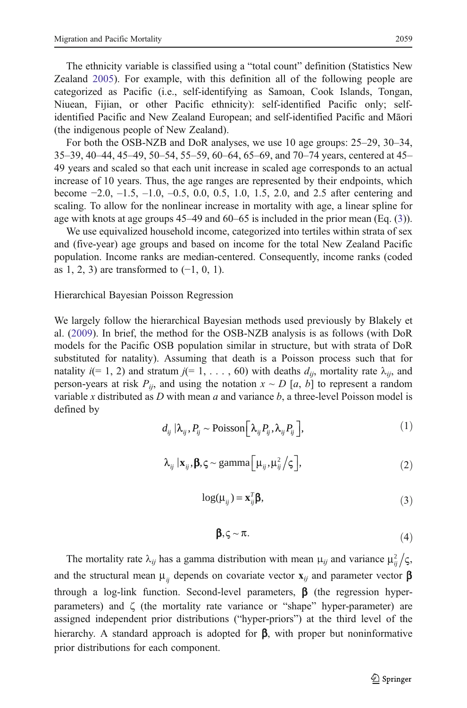<span id="page-6-0"></span>The ethnicity variable is classified using a "total count" definition (Statistics New Zealand [2005](#page-20-0)). For example, with this definition all of the following people are categorized as Pacific (i.e., self-identifying as Samoan, Cook Islands, Tongan, Niuean, Fijian, or other Pacific ethnicity): self-identified Pacific only; selfidentified Pacific and New Zealand European; and self-identified Pacific and Māori (the indigenous people of New Zealand).

For both the OSB-NZB and DoR analyses, we use 10 age groups: 25–29, 30–34, 35–39, 40–44, 45–49, 50–54, 55–59, 60–64, 65–69, and 70–74 years, centered at 45– 49 years and scaled so that each unit increase in scaled age corresponds to an actual increase of 10 years. Thus, the age ranges are represented by their endpoints, which become −2.0, –1.5, –1.0, –0.5, 0.0, 0.5, 1.0, 1.5, 2.0, and 2.5 after centering and scaling. To allow for the nonlinear increase in mortality with age, a linear spline for age with knots at age groups 45–49 and 60–65 is included in the prior mean (Eq. (3)).

We use equivalized household income, categorized into tertiles within strata of sex and (five-year) age groups and based on income for the total New Zealand Pacific population. Income ranks are median-centered. Consequently, income ranks (coded as 1, 2, 3) are transformed to  $(-1, 0, 1)$ .

#### Hierarchical Bayesian Poisson Regression

We largely follow the hierarchical Bayesian methods used previously by Blakely et al. [\(2009](#page-19-0)). In brief, the method for the OSB-NZB analysis is as follows (with DoR models for the Pacific OSB population similar in structure, but with strata of DoR substituted for natality). Assuming that death is a Poisson process such that for natality  $i(= 1, 2)$  and stratum  $j(= 1, \ldots, 60)$  with deaths  $d_{ij}$ , mortality rate  $\lambda_{ij}$ , and person-years at risk  $P_{ii}$ , and using the notation  $x \sim D[a, b]$  to represent a random variable x distributed as D with mean a and variance b, a three-level Poisson model is defined by

$$
d_{ij} | \lambda_{ij}, P_{ij} \sim \text{Poisson}\Big[\lambda_{ij} P_{ij}, \lambda_{ij} P_{ij}\Big],\tag{1}
$$

$$
\lambda_{ij} \mid \mathbf{x}_{ij}, \mathbf{\beta}, \varsigma \sim \text{gamma} \left[ \mu_{ij}, \mu_{ij}^2 / \varsigma \right], \tag{2}
$$

$$
\log(\mu_{ij}) = \mathbf{x}_{ij}^T \mathbf{\beta},\tag{3}
$$

$$
\beta, \zeta \sim \pi. \tag{4}
$$

The mortality rate  $\lambda_{ij}$  has a gamma distribution with mean  $\mu_{ij}$  and variance  $\mu_{ij}^2/\zeta$ , and the structural mean  $\mu_{ii}$  depends on covariate vector  $\mathbf{x}_{ij}$  and parameter vector  $\beta$ through a log-link function. Second-level parameters,  $\beta$  (the regression hyperparameters) and  $\zeta$  (the mortality rate variance or "shape" hyper-parameter) are assigned independent prior distributions ("hyper-priors") at the third level of the hierarchy. A standard approach is adopted for  $\beta$ , with proper but noninformative prior distributions for each component.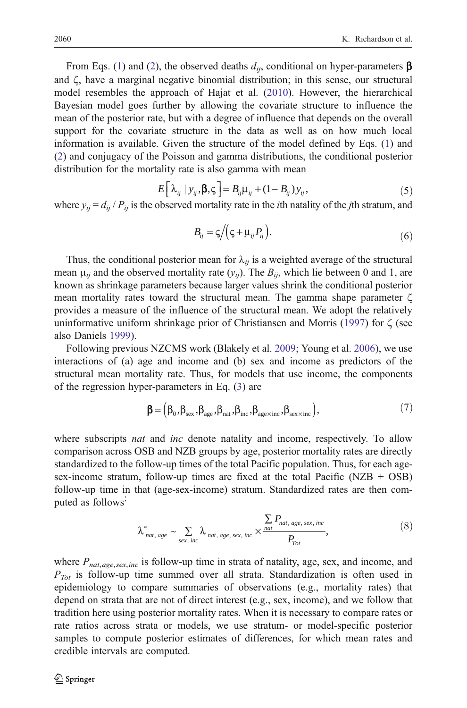From Eqs. ([1\)](#page-6-0) and [\(2](#page-6-0)), the observed deaths  $d_{ij}$ , conditional on hyper-parameters  $\beta$ and  $\zeta$ , have a marginal negative binomial distribution; in this sense, our structural model resembles the approach of Hajat et al. [\(2010](#page-19-0)). However, the hierarchical Bayesian model goes further by allowing the covariate structure to influence the mean of the posterior rate, but with a degree of influence that depends on the overall support for the covariate structure in the data as well as on how much local information is available. Given the structure of the model defined by Eqs. [\(1](#page-6-0)) and [\(2](#page-6-0)) and conjugacy of the Poisson and gamma distributions, the conditional posterior distribution for the mortality rate is also gamma with mean

$$
E\left[\lambda_{ij} \mid y_{ij}, \boldsymbol{\beta}, \boldsymbol{\zeta}\right] = B_{ij} \mu_{ij} + (1 - B_{ij}) y_{ij},\tag{5}
$$

where  $y_{ij} = d_{ij}/P_{ij}$  is the observed mortality rate in the *i*th natality of the *j*th stratum, and

$$
B_{ij} = \varsigma / (\varsigma + \mu_{ij} P_{ij}). \tag{6}
$$

Thus, the conditional posterior mean for  $\lambda_{ij}$  is a weighted average of the structural mean  $\mu_{ii}$  and the observed mortality rate  $(v_{ii})$ . The  $B_{ii}$ , which lie between 0 and 1, are known as shrinkage parameters because larger values shrink the conditional posterior mean mortality rates toward the structural mean. The gamma shape parameter  $\zeta$ provides a measure of the influence of the structural mean. We adopt the relatively uninformative uniform shrinkage prior of Christiansen and Morris ([1997\)](#page-19-0) for  $\zeta$  (see also Daniels [1999](#page-19-0)).

Following previous NZCMS work (Blakely et al. [2009;](#page-19-0) Young et al. [2006](#page-20-0)), we use interactions of (a) age and income and (b) sex and income as predictors of the structural mean mortality rate. Thus, for models that use income, the components of the regression hyper-parameters in Eq. [\(3](#page-6-0)) are

$$
\boldsymbol{\beta} = (\beta_0, \beta_{\text{sex}}, \beta_{\text{age}}, \beta_{\text{nat}}, \beta_{\text{inc}}, \beta_{\text{age}\times\text{inc}}, \beta_{\text{sex}\times\text{inc}}),
$$
\n(7)

where subscripts *nat* and *inc* denote natality and income, respectively. To allow comparison across OSB and NZB groups by age, posterior mortality rates are directly standardized to the follow-up times of the total Pacific population. Thus, for each agesex-income stratum, follow-up times are fixed at the total Pacific ( $NZB + OSB$ ) follow-up time in that (age-sex-income) stratum. Standardized rates are then computed as follows:

$$
\lambda_{nat, age}^* \sim \sum_{sex, inc} \lambda_{nat, age, sex, inc} \frac{\sum P_{nat, age, sex, inc}}{P_{tot}},
$$
\n(8)

where  $P_{nat,age,sex,inc}$  is follow-up time in strata of natality, age, sex, and income, and  $P_{Tot}$  is follow-up time summed over all strata. Standardization is often used in epidemiology to compare summaries of observations (e.g., mortality rates) that depend on strata that are not of direct interest (e.g., sex, income), and we follow that tradition here using posterior mortality rates. When it is necessary to compare rates or rate ratios across strata or models, we use stratum- or model-specific posterior samples to compute posterior estimates of differences, for which mean rates and credible intervals are computed.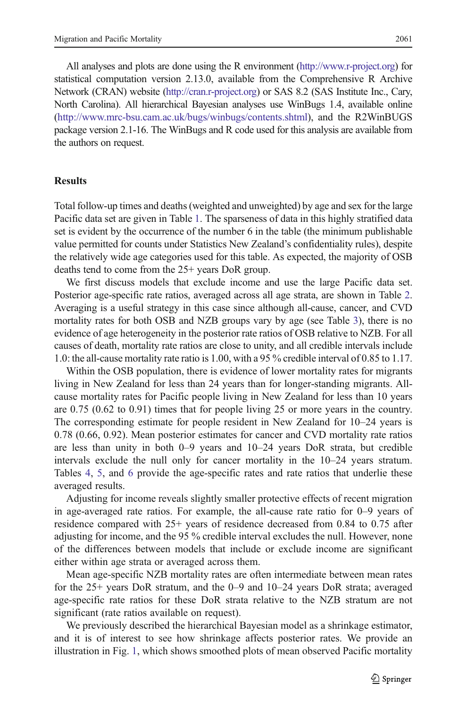All analyses and plots are done using the R environment [\(http://www.r-project.org\)](http://www.r-project.org/) for statistical computation version 2.13.0, available from the Comprehensive R Archive Network (CRAN) website [\(http://cran.r-project.org\)](http://cran.r-project.org/) or SAS 8.2 (SAS Institute Inc., Cary, North Carolina). All hierarchical Bayesian analyses use WinBugs 1.4, available online [\(http://www.mrc-bsu.cam.ac.uk/bugs/winbugs/contents.shtml](http://www.mrc-bsu.cam.ac.uk/bugs/winbugs/contents.shtml)), and the R2WinBUGS package version 2.1-16. The WinBugs and R code used for this analysis are available from the authors on request.

#### **Results**

Total follow-up times and deaths (weighted and unweighted) by age and sex for the large Pacific data set are given in Table [1](#page-9-0). The sparseness of data in this highly stratified data set is evident by the occurrence of the number 6 in the table (the minimum publishable value permitted for counts under Statistics New Zealand's confidentiality rules), despite the relatively wide age categories used for this table. As expected, the majority of OSB deaths tend to come from the 25+ years DoR group.

We first discuss models that exclude income and use the large Pacific data set. Posterior age-specific rate ratios, averaged across all age strata, are shown in Table [2.](#page-10-0) Averaging is a useful strategy in this case since although all-cause, cancer, and CVD mortality rates for both OSB and NZB groups vary by age (see Table [3](#page-11-0)), there is no evidence of age heterogeneity in the posterior rate ratios of OSB relative to NZB. For all causes of death, mortality rate ratios are close to unity, and all credible intervals include 1.0: the all-cause mortality rate ratio is 1.00, with a 95 % credible interval of 0.85 to 1.17.

Within the OSB population, there is evidence of lower mortality rates for migrants living in New Zealand for less than 24 years than for longer-standing migrants. Allcause mortality rates for Pacific people living in New Zealand for less than 10 years are 0.75 (0.62 to 0.91) times that for people living 25 or more years in the country. The corresponding estimate for people resident in New Zealand for 10–24 years is 0.78 (0.66, 0.92). Mean posterior estimates for cancer and CVD mortality rate ratios are less than unity in both 0–9 years and 10–24 years DoR strata, but credible intervals exclude the null only for cancer mortality in the 10–24 years stratum. Tables [4](#page-12-0), [5](#page-13-0), and [6](#page-14-0) provide the age-specific rates and rate ratios that underlie these averaged results.

Adjusting for income reveals slightly smaller protective effects of recent migration in age-averaged rate ratios. For example, the all-cause rate ratio for 0–9 years of residence compared with 25+ years of residence decreased from 0.84 to 0.75 after adjusting for income, and the 95 % credible interval excludes the null. However, none of the differences between models that include or exclude income are significant either within age strata or averaged across them.

Mean age-specific NZB mortality rates are often intermediate between mean rates for the 25+ years DoR stratum, and the 0–9 and 10–24 years DoR strata; averaged age-specific rate ratios for these DoR strata relative to the NZB stratum are not significant (rate ratios available on request).

We previously described the hierarchical Bayesian model as a shrinkage estimator, and it is of interest to see how shrinkage affects posterior rates. We provide an illustration in Fig. [1](#page-15-0), which shows smoothed plots of mean observed Pacific mortality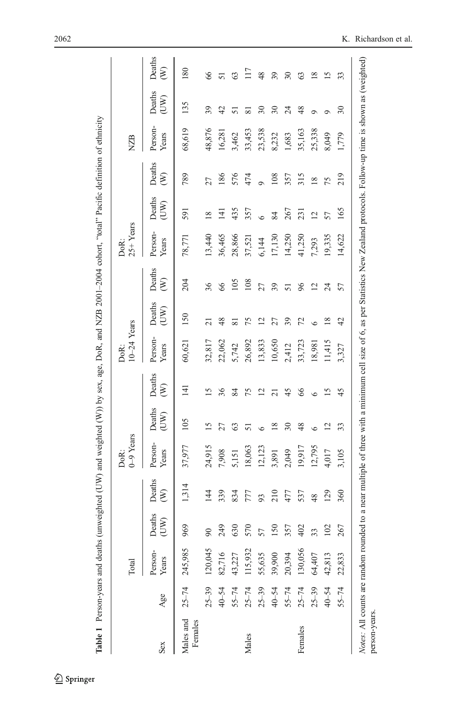<span id="page-9-0"></span>

|                      |           | Total             |                |                            | $0 - 9$ Years<br>DoR: |                |                            | $10-24$ Years<br>DoR |                 |                         | $25+Years$<br>DoR: |                |                            | NZB              |                          |                                |
|----------------------|-----------|-------------------|----------------|----------------------------|-----------------------|----------------|----------------------------|----------------------|-----------------|-------------------------|--------------------|----------------|----------------------------|------------------|--------------------------|--------------------------------|
| Sex                  | Age       | Person-<br>Years  | eaths<br>(WV)  | Deaths<br>$\hat{\epsilon}$ | Person-<br>Years      | Deaths<br>(UV) | Deaths<br>$\hat{\epsilon}$ | Person-<br>Years     | Deaths<br>(UV)  | Deaths<br>$\mathcal{E}$ | Person-<br>Years   | Deaths<br>(WV) | Deaths<br>$\hat{\epsilon}$ | Person-<br>Years | Deaths<br>(UV)           | Deaths<br>$\widehat{\epsilon}$ |
| Males and<br>Females |           | $25 - 74$ 245,985 | 969            | 1,314                      | 37,977                | 105            | 141                        | 60,621               | 150             | 204                     | 78,771             | 591            | 789                        | 68,619           | 135                      | 180                            |
|                      | $25 - 39$ | 120,045           | $\overline{6}$ | 144                        | 24,915                | 15             | 51                         | 32,817               | ಸ               | 36                      | 13,440             | 18             | 27                         | 48,876           | 39                       | 8                              |
|                      | $40 - 54$ | 82,716            | 249            | 339                        | 7,908                 | 27             | 36                         | 22,062               | 48              | 66                      | 36,465             | $\overline{4}$ | 186                        | 16,281           | 42                       | 51                             |
|                      | $55 - 74$ | 43,227            | 630            | 834                        | 5,151                 | 63             | $\mathfrak{A}$             | 5,742                | ವ               | 105                     | 28,866             | 435            | 576                        | 3,462            | 5                        | $\mathcal{C}$                  |
| Males                | $25 - 74$ | 115,932           | 570            | 777                        | 18,063                | 5              | 75                         | 26,892               | 75              | 108                     | 37,521             | 357            | 474                        | 33,453           | ವ                        | 117                            |
|                      | $25 - 39$ | 55,635            |                | 93                         | 12,123                | $\circ$        | $\overline{c}$             | 13,833               | $\overline{12}$ | 27                      | 6,144              | $\circ$        |                            | 23,538           | $\overline{\mathcal{E}}$ | 48                             |
|                      | $40 - 54$ | 39,900            | 150            | 210                        | 3,891                 | $\infty$       | $\overline{z}$             | 10,650               | 27              | 39                      | 17,130             | 84             | 108                        | 8,232            | $30\,$                   | 39                             |
|                      | $55 - 74$ | 20,394            | 357            | 477                        | 2,049                 | $30\,$         | 45                         | 2,412                | 39              | 51                      | 14,250             | 267            | 357                        | 1,683            | 24                       | $\overline{\mathcal{E}}$       |
| Females              | $25 - 74$ | 130,056           | 402            | 537                        | 19,917                | 48             | 66                         | 33,723               | 72              | 96                      | 41,250             | 231            | 315                        | 35,163           | 48                       | $\mathcal{C}$                  |
|                      | $25 - 39$ | 64,407            | 33             | 48                         | 12,795                | $\circ$        | $\circ$                    | 18,981               |                 | $\overline{c}$          | 7,293              | 12             | 18                         | 25,338           | $\circ$                  | $\frac{8}{2}$                  |
|                      | $40 - 54$ | 42,813            | 102            | 129                        | 4,017                 | $\overline{c}$ | $\overline{15}$            | 11,415               | 18              | $\overline{c}$          | 19,335             | 57             | 75                         | 8,049            | $\circ$                  | 51                             |
|                      | $55 - 74$ | 22,833            | 267            | 360                        | 3,105                 | 33             | 45                         | 3,327                | $\overline{4}$  | 57                      | 14,622             | 165            | 219                        | 1,779            | $30\,$                   | 33                             |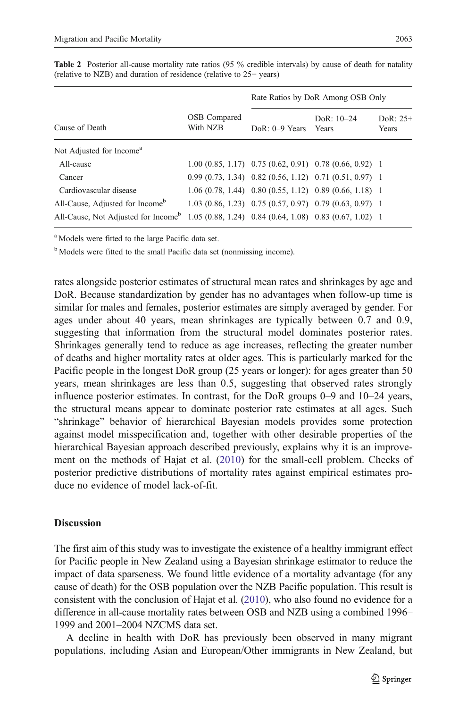|                                                                                                         |                          |                  | Rate Ratios by DoR Among OSB Only                          |                     |
|---------------------------------------------------------------------------------------------------------|--------------------------|------------------|------------------------------------------------------------|---------------------|
| Cause of Death                                                                                          | OSB Compared<br>With NZB | $DoR: 0-9$ Years | $DoR: 10-24$<br>Years                                      | $DoR: 25+$<br>Years |
| Not Adjusted for Income <sup>a</sup>                                                                    |                          |                  |                                                            |                     |
| All-cause                                                                                               |                          |                  | $1.00 (0.85, 1.17) 0.75 (0.62, 0.91) 0.78 (0.66, 0.92) 1$  |                     |
| Cancer                                                                                                  |                          |                  | $0.99(0.73, 1.34)$ $0.82(0.56, 1.12)$ $0.71(0.51, 0.97)$ 1 |                     |
| Cardiovascular disease                                                                                  |                          |                  | $1.06(0.78, 1.44)$ $0.80(0.55, 1.12)$ $0.89(0.66, 1.18)$ 1 |                     |
| All-Cause, Adjusted for Incomeb                                                                         |                          |                  | 1.03 (0.86, 1.23) 0.75 (0.57, 0.97) 0.79 (0.63, 0.97) 1    |                     |
| All-Cause, Not Adjusted for Income <sup>b</sup> 1.05 (0.88, 1.24) 0.84 (0.64, 1.08) 0.83 (0.67, 1.02) 1 |                          |                  |                                                            |                     |

<span id="page-10-0"></span>Table 2 Posterior all-cause mortality rate ratios (95 % credible intervals) by cause of death for natality (relative to NZB) and duration of residence (relative to 25+ years)

<sup>a</sup> Models were fitted to the large Pacific data set.

<sup>b</sup> Models were fitted to the small Pacific data set (nonmissing income).

rates alongside posterior estimates of structural mean rates and shrinkages by age and DoR. Because standardization by gender has no advantages when follow-up time is similar for males and females, posterior estimates are simply averaged by gender. For ages under about 40 years, mean shrinkages are typically between 0.7 and 0.9, suggesting that information from the structural model dominates posterior rates. Shrinkages generally tend to reduce as age increases, reflecting the greater number of deaths and higher mortality rates at older ages. This is particularly marked for the Pacific people in the longest DoR group (25 years or longer): for ages greater than 50 years, mean shrinkages are less than 0.5, suggesting that observed rates strongly influence posterior estimates. In contrast, for the DoR groups 0–9 and 10–24 years, the structural means appear to dominate posterior rate estimates at all ages. Such "shrinkage" behavior of hierarchical Bayesian models provides some protection against model misspecification and, together with other desirable properties of the hierarchical Bayesian approach described previously, explains why it is an improvement on the methods of Hajat et al. ([2010\)](#page-19-0) for the small-cell problem. Checks of posterior predictive distributions of mortality rates against empirical estimates produce no evidence of model lack-of-fit.

#### **Discussion**

The first aim of this study was to investigate the existence of a healthy immigrant effect for Pacific people in New Zealand using a Bayesian shrinkage estimator to reduce the impact of data sparseness. We found little evidence of a mortality advantage (for any cause of death) for the OSB population over the NZB Pacific population. This result is consistent with the conclusion of Hajat et al. ([2010](#page-19-0)), who also found no evidence for a difference in all-cause mortality rates between OSB and NZB using a combined 1996– 1999 and 2001–2004 NZCMS data set.

A decline in health with DoR has previously been observed in many migrant populations, including Asian and European/Other immigrants in New Zealand, but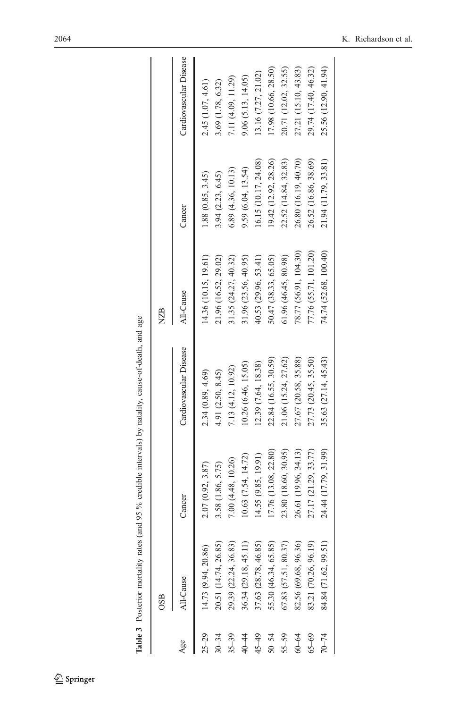<span id="page-11-0"></span>

|           | OSB                  |                      |                        | NZB                   |                      |                        |
|-----------|----------------------|----------------------|------------------------|-----------------------|----------------------|------------------------|
| Age       | All-Cause            | Cancer               | Cardiovascular Disease | All-Cause             | Cancer               | Cardiovascular Disease |
| $25 - 29$ | 14.73 (9.94, 20.86)  | 2.07 (0.92, 3.87)    | 2.34 (0.89, 4.69)      | 14.36 (10.15, 19.61)  | 1.88(0.85, 3.45)     | 2.45 (1.07, 4.61)      |
| $30 - 34$ | 20.51 (14.74, 26.85) | 3.58 (1.86, 5.75)    | 4.91 (2.50, 8.45)      | 21.96 (16.52, 29.02)  | 3.94 (2.23, 6.45)    | 3.69 (1.78, 6.32)      |
| $35 - 39$ | 29.39 (22.24, 36.83) | 7.00(4.48, 10.26)    | 7.13 (4.12, 10.92)     | 31.35 (24.27, 40.32)  | 6.89 (4.36, 10.13)   | 7.11 (4.09, 11.29)     |
| 40-44     | 36.34 (29.18, 45.11) | 10.63 (7.54, 14.72)  | 10.26 (6.46, 15.05)    | 31.96 (23.56, 40.95)  | 9.59 (6.04, 13.54)   | 9.06(5.13, 14.05)      |
| $45 - 49$ | 37.63 (28.78, 46.85) | 14.55 (9.85, 19.91)  | 12.39 (7.64, 18.38)    | 40.53 (29.96, 53.41)  | 16.15 (10.17, 24.08) | 13.16 (7.27, 21.02)    |
| $50 - 54$ | 55.30 (46.34, 65.85) | 17.76 (13.08, 22.80) | 22.84 (16.55, 30.59)   | 50.47 (38.33, 65.05)  | 19.42 (12.92, 28.26) | 17.98 (10.66, 28.50)   |
| $55 - 59$ | 67.83 (57.51, 80.37) | 23.80 (18.60, 30.95) | 21.06 (15.24, 27.62)   | 61.96 (46.45, 80.98)  | 22.52 (14.84, 32.83) | 20.71 (12.02, 32.55)   |
| 60-64     | 82.56 (69.68, 96.36) | 26.61 (19.96, 34.13) | 27.67 (20.58, 35.88)   | 78.77 (56.91, 104.30) | 26.80 (16.19, 40.70) | 27.21 (15.10, 43.83)   |
| $65 - 69$ | 83.21 (70.26, 96.19) | 27.17 (21.29, 33.77) | 27.73 (20.45, 35.50)   | 77.76 (55.71, 101.20) | 26.52 (16.86, 38.69) | 29.74 (17.40, 46.32)   |
| $70 - 74$ | 84.84 (71.62, 99.51) | 24.44 (17.79, 31.99) | 35.63 (27.14, 45.43)   | 74.74 (52.68, 100.40) | 21.94 (11.79, 33.81) | 25.56 (12.90, 41.94)   |
|           |                      |                      |                        |                       |                      |                        |

Table 3 Posterior mortality rates (and 95 % credible intervals) by natality, cause-of-death, and age Table 3 Posterior mortality rates (and 95 % credible intervals) by natality, cause-of-death, and age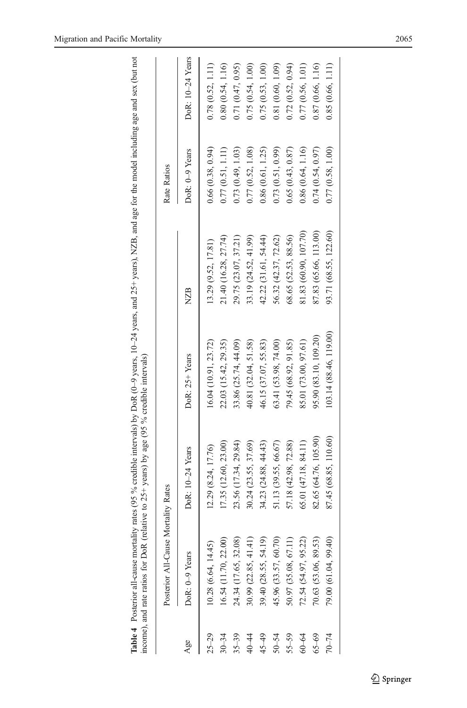<span id="page-12-0"></span>

| n sex (hijt not<br>lity rates (95 % credible intervals) by DoR (0-9 years, 10-24 years, and 25+ years), NZB, and age for the model including age and sex (bu<br>$\degree$ (relative to 25+ years) by age (95 % credible intervals, |
|------------------------------------------------------------------------------------------------------------------------------------------------------------------------------------------------------------------------------------|
|------------------------------------------------------------------------------------------------------------------------------------------------------------------------------------------------------------------------------------|

|           | Posterior All-Cause Mortality Rates |                       |                        |                       | Rate Ratios      |                  |
|-----------|-------------------------------------|-----------------------|------------------------|-----------------------|------------------|------------------|
| Age       | DoR: 0-9 Years                      | DoR: 10-24 Years      | DoR: 25+ Years         | NZB                   | DoR: 0-9 Years   | DoR: 10-24 Years |
| $25 - 29$ | 10.28 (6.64, 14.45)                 | 12.29 (8.24, 17.76)   | 16.04 (10.91, 23.72)   | 13.29 (9.52, 17.81)   | 0.66(0.38, 0.94) | 0.78(0.52, 1.11) |
| $30 - 34$ | 16.54 (11.70, 22.00)                | 17.35 (12.60, 23.00)  | 22.03 (15.42, 29.35)   | 21.40 (16.28, 27.74)  | 0.77(0.51, 1.11) | 0.80(0.54, 1.16) |
| $35 - 39$ | 24.34 (17.65, 32.08)                | 23.56 (17.34, 29.84)  | 33.86 (25.74, 44.09)   | 29.75 (23.07, 37.21)  | 0.73(0.49, 1.03) | 0.71(0.47, 0.95) |
| 40-44     | 30.99 (22.85, 41.41)                | 30.24 (23.55, 37.69)  | 40.81 (32.04, 51.58)   | 33.19 (24.52, 41.99)  | 0.77(0.52, 1.08) | 0.75(0.54, 1.00) |
| $45 - 49$ | 39.40 (28.55, 54.19)                | 34.23 (24.88, 44.43)  | 46.15 (37.07, 55.83)   | 42.22 (31.61, 54.44)  | 0.86(0.61, 1.25) | 0.75(0.53, 1.00) |
| $50 - 54$ | 45.96 (33.57, 60.70)                | 51.13 (39.55, 66.67)  | 63.41 (53.98, 74.00)   | 56.32 (42.37, 72.62)  | 0.73(0.51, 0.99) | 0.81(0.60, 1.09) |
| $55 - 59$ | 50.97 (35.08, 67.11)                | 57.18 (42.98, 72.88)  | 79.45 (68.92, 91.85)   | 68.65 (52.53, 88.56)  | 0.65(0.43, 0.87) | 0.72(0.52, 0.94) |
| $60 - 64$ | 72.54 (54.97, 95.22)                | 65.01 (47.18, 84.11)  | 85.01 (73.00, 97.61)   | 81.83 (60.90, 107.70) | 0.86(0.64, 1.16) | 0.77(0.56, 1.01) |
| $65 - 69$ | 70.63 (53.06, 89.53)                | 82.65 (64.76, 105.90) | 95.90 (83.10, 109.20)  | 87.83 (65.66, 113.00) | 0.74(0.54, 0.97) | 0.87(0.66, 1.16) |
| $70 - 74$ | 79.00 (61.04, 99.40)                | 87.45 (68.85, 110.60) | 103.14 (88.46, 119.00) | 93.71 (68.55, 122.60) | 0.77(0.58, 1.00) | 0.85(0.66, 1.11) |
|           |                                     |                       |                        |                       |                  |                  |

 $\underline{\textcircled{\tiny 2}}$  Springer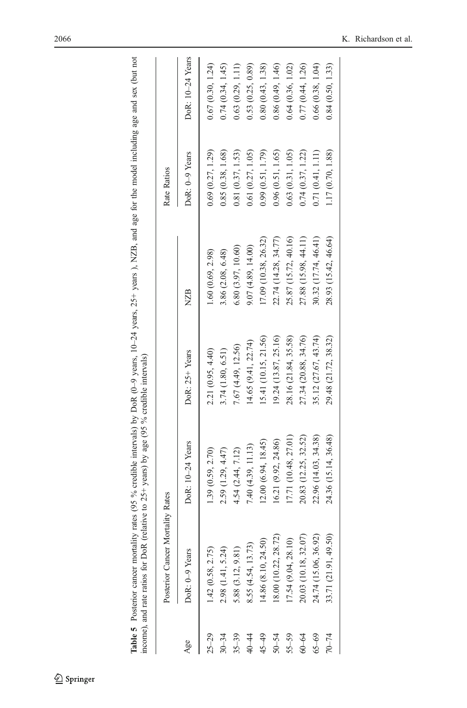<span id="page-13-0"></span>

| $(0-24$ years, $25+$ years ), NZB, and age for the model including age and sex (but not<br>R $(0-9$ vears. 1<br>$\frac{1}{2}$<br>e interval | $\sim$ orad:1       |  |
|---------------------------------------------------------------------------------------------------------------------------------------------|---------------------|--|
| $-195%$ credible.<br>rates                                                                                                                  | $25+$ vears) by age |  |

|           | Posterior Cancer Mortality Rates |                      |                      |                      | Rate Ratios       |                  |
|-----------|----------------------------------|----------------------|----------------------|----------------------|-------------------|------------------|
| Age       | DoR: 0-9 Years                   | DoR: 10-24 Years     | DoR: 25+ Years       | NZB                  | DoR: 0-9 Years    | DoR: 10-24 Years |
| $25 - 29$ | 1.42(0.58, 2.75)                 | 1.39 (0.59, 2.70)    | 2.21 (0.95, 4.40)    | 1.60 (0.69, 2.98)    | 0.69(0.27, 1.29)  | 0.67(0.30, 1.24) |
| $30 - 34$ | 2.98 (1.41, 5.24)                | 2.59 (1.29, 4.47)    | 3.74(1.80, 6.51)     | 3.86 (2.08, 6.48)    | 0.85(0.38, 1.68)  | 0.74(0.34, 1.45) |
| $35 - 39$ | 5.88 (3.12, 9.81)                | 4.54 (2.44, 7.12)    | 7.67 (4.49, 12.56)   | 6.80 (3.97, 10.60)   | 0.81 (0.37, 1.53) | 0.63(0.29, 1.11) |
| 40-44     | 8.55 (4.54, 13.73)               | 7.40(4.39, 11.13)    | 14.65 (9.41, 22.74)  | 9.07(4.89, 14.00)    | 0.61(0.27, 1.05)  | 0.53(0.25, 0.89) |
| $45 - 49$ | 14.86 (8.10, 24.50)              | 12.00(6.94, 18.45)   | 15.41 (10.15, 21.56) | 17.09 (10.38, 26.32) | 0.99(0.51, 1.79)  | 0.80(0.43, 1.38) |
| $50 - 54$ | 18.00 (10.22, 28.72)             | 16.21 (9.92, 24.86)  | 19.24 (13.87, 25.16) | 22.74 (14.28, 34.77) | 0.96(0.51, 1.65)  | 0.86(0.49, 1.46) |
| $55 - 59$ | 17.54 (9.04, 28.10)              | 17.71 (10.48, 27.01) | 28.16 (21.84, 35.58) | 25.87 (15.72, 40.16) | 0.63(0.31, 1.05)  | 0.64(0.36, 1.02) |
| 60-64     | 20.03 (10.18, 32.07)             | 20.83 (12.25, 32.52) | 27.34 (20.88, 34.76) | 27.88 (15.98, 44.11) | 0.74(0.37, 1.22)  | 0.77(0.44, 1.26) |
| $65 - 69$ | 24.74 (15.06, 36.92)             | 22.96 (14.03, 34.38) | 35.12 (27.67, 43.74) | 30.32 (17.74, 46.41) | 0.71(0.41, 1.11)  | 0.66(0.38, 1.04) |
| $70 - 74$ | 33.71 (21.91, 49.50)             | 24.36 (15.14, 36.48) | 29.48 (21.72, 38.32) | 28.93 (15.42, 46.64) | 1.17 (0.70, 1.88) | 0.84(0.50, 1.33) |
|           |                                  |                      |                      |                      |                   |                  |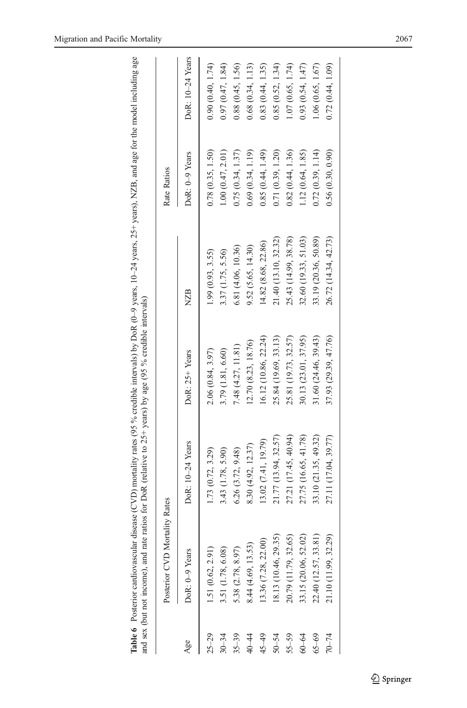<span id="page-14-0"></span>

| R ( $0-9$ years, $10-24$ years, $25+$ years), NZB, and age for the<br>$\approx$ to 25+ years) by age (95 % credibious)<br>$\sqrt{D}$ ) mortality rates (95 % credible intervals) by<br>ratios for DoR (relat<br>:<br>;<br>nonnor<br>۽<br>ح<br>conna i on<br>a h la é |
|----------------------------------------------------------------------------------------------------------------------------------------------------------------------------------------------------------------------------------------------------------------------|
|----------------------------------------------------------------------------------------------------------------------------------------------------------------------------------------------------------------------------------------------------------------------|

|           | Posterior CVD Mortality Rates |                      |                      |                      | Rate Ratios       |                   |
|-----------|-------------------------------|----------------------|----------------------|----------------------|-------------------|-------------------|
| Age       | DoR: 0-9 Years                | DoR: 10-24 Years     | DoR: 25+ Years       | NZB                  | DoR: 0-9 Years    | DoR: 10-24 Years  |
| $25 - 29$ | 1.51 (0.62, 2.91)             | 1.73 (0.72, 3.29)    | 2.06 (0.84, 3.97)    | 1.99(0.93, 3.55)     | 0.78(0.35, 1.50)  | 0.90(0.40, 1.74)  |
| $30 - 34$ | 3.51 (1.78, 6.08)             | 3.43 (1.78, 5.90)    | 3.79 (1.81, 6.60)    | 3.37 (1.75, 5.56)    | 1.00(0.47, 2.01)  | 0.97(0.47, 1.84)  |
| $35 - 39$ | 5.38(2.78, 8.97)              | 6.26 (3.72, 9.48)    | 7.48 (4.27, 11.81)   | 6.81 (4.06, 10.36)   | 0.75(0.34, 1.37)  | 0.88(0.45, 1.56)  |
| 40-44     | 8.44 (4.69, 13.53)            | 8.30 (4.92, 12.37)   | 12.70 (8.23, 18.76)  | 9.52 (5.65, 14.30)   | 0.69(0.34, 1.19)  | 0.68(0.34, 1.13)  |
| $45 - 49$ | 3.36 (7.28, 22.00)            | 13.02 (7.41, 19.79)  | 16.12 (10.86, 22.24) | 14.82 (8.68, 22.86)  | 0.85(0.44, 1.49)  | 0.83(0.44, 1.35)  |
| $50 - 54$ | 18.13 (10.46, 29.35)          | 21.77 (13.94, 32.57) | 25.84 (19.69, 33.13) | 21.40 (13.10, 32.32) | 0.71(0.39, 1.20)  | 0.85(0.52, 1.34)  |
| $55 - 59$ | 20.79 (11.79, 32.65)          | 27.21 (17.45, 40.94) | 25.81 (19.73, 32.57) | 25.43 (14.99, 38.78) | 0.82(0.44, 1.36)  | 1.07 (0.65, 1.74) |
| 60-64     | 33.15 (20.06, 52.02)          | 27.75 (16.65, 41.78) | 30.13 (23.01, 37.95) | 32.60 (19.33, 51.03) | 1.12 (0.64, 1.85) | 0.93(0.54, 1.47)  |
| $65 - 69$ | 22.40 (12.57, 33.81)          | 33.10 (21.35, 49.32) | 31.60 (24.46, 39.43) | 33.19 (20.36, 50.89) | 0.72(0.39, 1.14)  | 1.06(0.65, 1.67)  |
| $70 - 74$ | 21.10 (11.99, 32.29)          | 27.11 (17.04, 39.77) | 37.93 (29.39, 47.76) | 26.72 (14.34, 42.73) | 0.56(0.30, 0.90)  | 0.72(0.44, 1.09)  |
|           |                               |                      |                      |                      |                   |                   |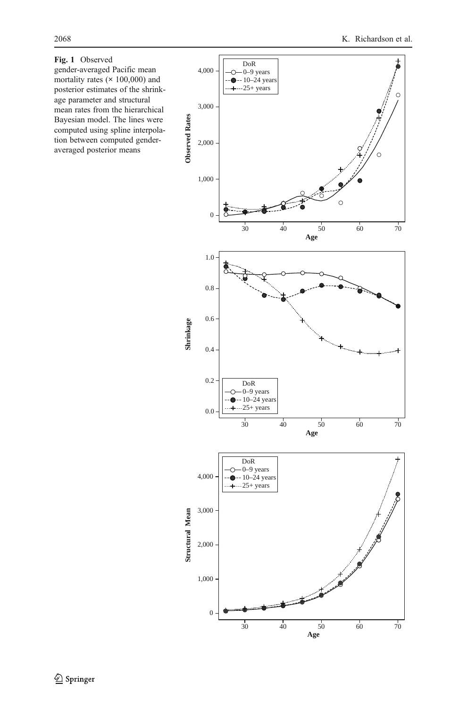<span id="page-15-0"></span>

# Fig. 1 Observed

gender-averaged Pacific mean mortality rates  $(\times 100,000)$  and posterior estimates of the shrinkage parameter and structural mean rates from the hierarchical Bayesian model. The lines were computed using spline interpolation between computed genderaveraged posterior means

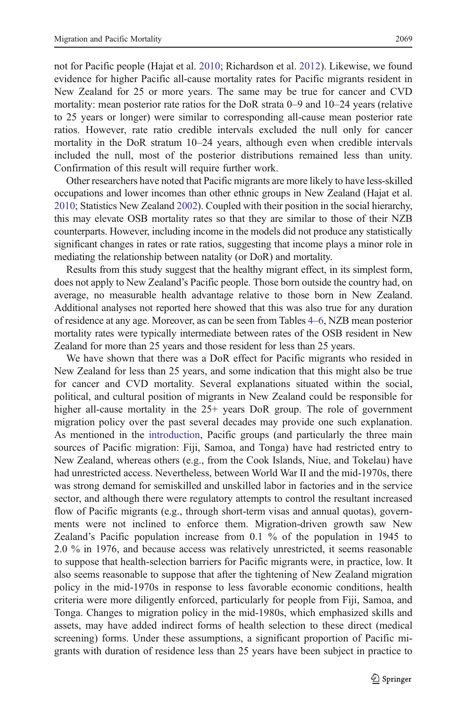not for Pacific people (Hajat et al. [2010](#page-19-0); Richardson et al. [2012\)](#page-20-0). Likewise, we found evidence for higher Pacific all-cause mortality rates for Pacific migrants resident in New Zealand for 25 or more years. The same may be true for cancer and CVD mortality: mean posterior rate ratios for the DoR strata 0–9 and 10–24 years (relative to 25 years or longer) were similar to corresponding all-cause mean posterior rate ratios. However, rate ratio credible intervals excluded the null only for cancer mortality in the DoR stratum 10–24 years, although even when credible intervals included the null, most of the posterior distributions remained less than unity. Confirmation of this result will require further work.

Other researchers have noted that Pacific migrants are more likely to have less-skilled occupations and lower incomes than other ethnic groups in New Zealand (Hajat et al. [2010;](#page-19-0) Statistics New Zealand [2002\)](#page-20-0). Coupled with their position in the social hierarchy, this may elevate OSB mortality rates so that they are similar to those of their NZB counterparts. However, including income in the models did not produce any statistically significant changes in rates or rate ratios, suggesting that income plays a minor role in mediating the relationship between natality (or DoR) and mortality.

Results from this study suggest that the healthy migrant effect, in its simplest form, does not apply to New Zealand's Pacific people. Those born outside the country had, on average, no measurable health advantage relative to those born in New Zealand. Additional analyses not reported here showed that this was also true for any duration of residence at any age. Moreover, as can be seen from Tables [4](#page-12-0)–[6,](#page-14-0) NZB mean posterior mortality rates were typically intermediate between rates of the OSB resident in New Zealand for more than 25 years and those resident for less than 25 years.

We have shown that there was a DoR effect for Pacific migrants who resided in New Zealand for less than 25 years, and some indication that this might also be true for cancer and CVD mortality. Several explanations situated within the social, political, and cultural position of migrants in New Zealand could be responsible for higher all-cause mortality in the 25+ years DoR group. The role of government migration policy over the past several decades may provide one such explanation. As mentioned in the [introduction](#page-1-0), Pacific groups (and particularly the three main sources of Pacific migration: Fiji, Samoa, and Tonga) have had restricted entry to New Zealand, whereas others (e.g., from the Cook Islands, Niue, and Tokelau) have had unrestricted access. Nevertheless, between World War II and the mid-1970s, there was strong demand for semiskilled and unskilled labor in factories and in the service sector, and although there were regulatory attempts to control the resultant increased flow of Pacific migrants (e.g., through short-term visas and annual quotas), governments were not inclined to enforce them. Migration-driven growth saw New Zealand's Pacific population increase from 0.1 % of the population in 1945 to 2.0 % in 1976, and because access was relatively unrestricted, it seems reasonable to suppose that health-selection barriers for Pacific migrants were, in practice, low. It also seems reasonable to suppose that after the tightening of New Zealand migration policy in the mid-1970s in response to less favorable economic conditions, health criteria were more diligently enforced, particularly for people from Fiji, Samoa, and Tonga. Changes to migration policy in the mid-1980s, which emphasized skills and assets, may have added indirect forms of health selection to these direct (medical screening) forms. Under these assumptions, a significant proportion of Pacific migrants with duration of residence less than 25 years have been subject in practice to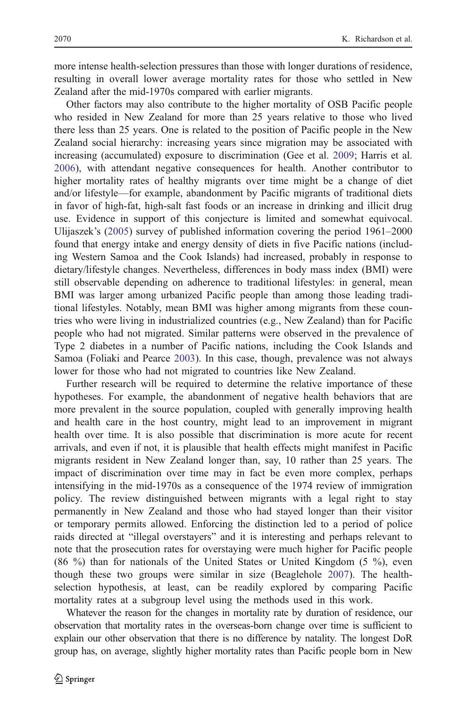more intense health-selection pressures than those with longer durations of residence, resulting in overall lower average mortality rates for those who settled in New Zealand after the mid-1970s compared with earlier migrants.

Other factors may also contribute to the higher mortality of OSB Pacific people who resided in New Zealand for more than 25 years relative to those who lived there less than 25 years. One is related to the position of Pacific people in the New Zealand social hierarchy: increasing years since migration may be associated with increasing (accumulated) exposure to discrimination (Gee et al. [2009](#page-19-0); Harris et al. [2006\)](#page-20-0), with attendant negative consequences for health. Another contributor to higher mortality rates of healthy migrants over time might be a change of diet and/or lifestyle—for example, abandonment by Pacific migrants of traditional diets in favor of high-fat, high-salt fast foods or an increase in drinking and illicit drug use. Evidence in support of this conjecture is limited and somewhat equivocal. Ulijaszek's [\(2005](#page-20-0)) survey of published information covering the period 1961–2000 found that energy intake and energy density of diets in five Pacific nations (including Western Samoa and the Cook Islands) had increased, probably in response to dietary/lifestyle changes. Nevertheless, differences in body mass index (BMI) were still observable depending on adherence to traditional lifestyles: in general, mean BMI was larger among urbanized Pacific people than among those leading traditional lifestyles. Notably, mean BMI was higher among migrants from these countries who were living in industrialized countries (e.g., New Zealand) than for Pacific people who had not migrated. Similar patterns were observed in the prevalence of Type 2 diabetes in a number of Pacific nations, including the Cook Islands and Samoa (Foliaki and Pearce [2003\)](#page-19-0). In this case, though, prevalence was not always lower for those who had not migrated to countries like New Zealand.

Further research will be required to determine the relative importance of these hypotheses. For example, the abandonment of negative health behaviors that are more prevalent in the source population, coupled with generally improving health and health care in the host country, might lead to an improvement in migrant health over time. It is also possible that discrimination is more acute for recent arrivals, and even if not, it is plausible that health effects might manifest in Pacific migrants resident in New Zealand longer than, say, 10 rather than 25 years. The impact of discrimination over time may in fact be even more complex, perhaps intensifying in the mid-1970s as a consequence of the 1974 review of immigration policy. The review distinguished between migrants with a legal right to stay permanently in New Zealand and those who had stayed longer than their visitor or temporary permits allowed. Enforcing the distinction led to a period of police raids directed at "illegal overstayers" and it is interesting and perhaps relevant to note that the prosecution rates for overstaying were much higher for Pacific people (86 %) than for nationals of the United States or United Kingdom (5 %), even though these two groups were similar in size (Beaglehole [2007\)](#page-19-0). The healthselection hypothesis, at least, can be readily explored by comparing Pacific mortality rates at a subgroup level using the methods used in this work.

Whatever the reason for the changes in mortality rate by duration of residence, our observation that mortality rates in the overseas-born change over time is sufficient to explain our other observation that there is no difference by natality. The longest DoR group has, on average, slightly higher mortality rates than Pacific people born in New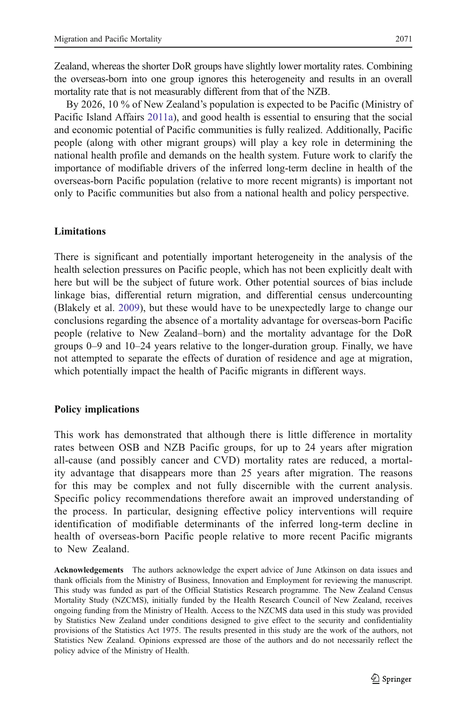Zealand, whereas the shorter DoR groups have slightly lower mortality rates. Combining the overseas-born into one group ignores this heterogeneity and results in an overall mortality rate that is not measurably different from that of the NZB.

By 2026, 10 % of New Zealand's population is expected to be Pacific (Ministry of Pacific Island Affairs [2011a\)](#page-20-0), and good health is essential to ensuring that the social and economic potential of Pacific communities is fully realized. Additionally, Pacific people (along with other migrant groups) will play a key role in determining the national health profile and demands on the health system. Future work to clarify the importance of modifiable drivers of the inferred long-term decline in health of the overseas-born Pacific population (relative to more recent migrants) is important not only to Pacific communities but also from a national health and policy perspective.

# **Limitations**

There is significant and potentially important heterogeneity in the analysis of the health selection pressures on Pacific people, which has not been explicitly dealt with here but will be the subject of future work. Other potential sources of bias include linkage bias, differential return migration, and differential census undercounting (Blakely et al. [2009](#page-19-0)), but these would have to be unexpectedly large to change our conclusions regarding the absence of a mortality advantage for overseas-born Pacific people (relative to New Zealand–born) and the mortality advantage for the DoR groups 0–9 and 10–24 years relative to the longer-duration group. Finally, we have not attempted to separate the effects of duration of residence and age at migration, which potentially impact the health of Pacific migrants in different ways.

## Policy implications

This work has demonstrated that although there is little difference in mortality rates between OSB and NZB Pacific groups, for up to 24 years after migration all-cause (and possibly cancer and CVD) mortality rates are reduced, a mortality advantage that disappears more than 25 years after migration. The reasons for this may be complex and not fully discernible with the current analysis. Specific policy recommendations therefore await an improved understanding of the process. In particular, designing effective policy interventions will require identification of modifiable determinants of the inferred long-term decline in health of overseas-born Pacific people relative to more recent Pacific migrants to New Zealand.

Acknowledgements The authors acknowledge the expert advice of June Atkinson on data issues and thank officials from the Ministry of Business, Innovation and Employment for reviewing the manuscript. This study was funded as part of the Official Statistics Research programme. The New Zealand Census Mortality Study (NZCMS), initially funded by the Health Research Council of New Zealand, receives ongoing funding from the Ministry of Health. Access to the NZCMS data used in this study was provided by Statistics New Zealand under conditions designed to give effect to the security and confidentiality provisions of the Statistics Act 1975. The results presented in this study are the work of the authors, not Statistics New Zealand. Opinions expressed are those of the authors and do not necessarily reflect the policy advice of the Ministry of Health.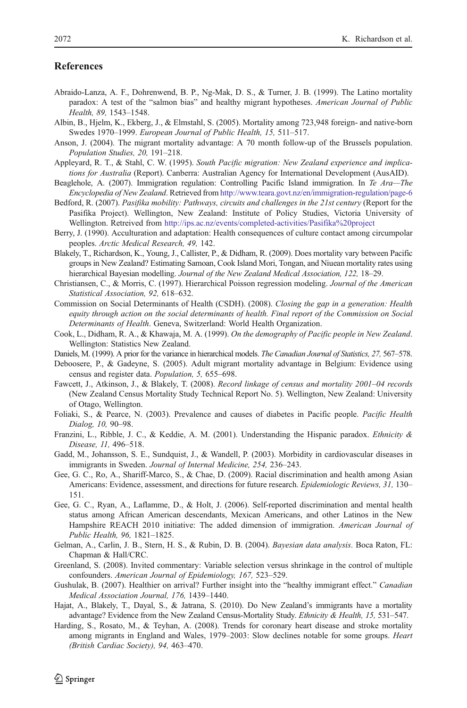## <span id="page-19-0"></span>References

- Abraido-Lanza, A. F., Dohrenwend, B. P., Ng-Mak, D. S., & Turner, J. B. (1999). The Latino mortality paradox: A test of the "salmon bias" and healthy migrant hypotheses. American Journal of Public Health, 89, 1543–1548.
- Albin, B., Hjelm, K., Ekberg, J., & Elmstahl, S. (2005). Mortality among 723,948 foreign- and native-born Swedes 1970–1999. European Journal of Public Health, 15, 511–517.
- Anson, J. (2004). The migrant mortality advantage: A 70 month follow-up of the Brussels population. Population Studies, 20, 191–218.
- Appleyard, R. T., & Stahl, C. W. (1995). South Pacific migration: New Zealand experience and implications for Australia (Report). Canberra: Australian Agency for International Development (AusAID).
- Beaglehole, A. (2007). Immigration regulation: Controlling Pacific Island immigration. In Te Ara—The Encyclopedia of New Zealand. Retrieved from <http://www.teara.govt.nz/en/immigration-regulation/page-6>
- Bedford, R. (2007). Pasifika mobility: Pathways, circuits and challenges in the 21st century (Report for the Pasifika Project). Wellington, New Zealand: Institute of Policy Studies, Victoria University of Wellington. Retreived from <http://ips.ac.nz/events/completed-activities/Pasifika%20project>
- Berry, J. (1990). Acculturation and adaptation: Health consequences of culture contact among circumpolar peoples. Arctic Medical Research, 49, 142.
- Blakely, T., Richardson, K., Young, J., Callister, P., & Didham, R. (2009). Does mortality vary between Pacific groups in New Zealand? Estimating Samoan, Cook Island Mori, Tongan, and Niuean mortality rates using hierarchical Bayesian modelling. Journal of the New Zealand Medical Association, 122, 18–29.
- Christiansen, C., & Morris, C. (1997). Hierarchical Poisson regression modeling. Journal of the American Statistical Association, 92, 618–632.
- Commission on Social Determinants of Health (CSDH). (2008). Closing the gap in a generation: Health equity through action on the social determinants of health. Final report of the Commission on Social Determinants of Health. Geneva, Switzerland: World Health Organization.
- Cook, L., Didham, R. A., & Khawaja, M. A. (1999). On the demography of Pacific people in New Zealand. Wellington: Statistics New Zealand.
- Daniels, M. (1999). A prior for the variance in hierarchical models. The Canadian Journal of Statistics, 27, 567–578.
- Deboosere, P., & Gadeyne, S. (2005). Adult migrant mortality advantage in Belgium: Evidence using census and register data. Population, 5, 655–698.
- Fawcett, J., Atkinson, J., & Blakely, T. (2008). Record linkage of census and mortality 2001–04 records (New Zealand Census Mortality Study Technical Report No. 5). Wellington, New Zealand: University of Otago, Wellington.
- Foliaki, S., & Pearce, N. (2003). Prevalence and causes of diabetes in Pacific people. Pacific Health Dialog, 10, 90–98.
- Franzini, L., Ribble, J. C., & Keddie, A. M. (2001). Understanding the Hispanic paradox. Ethnicity & Disease, 11, 496–518.
- Gadd, M., Johansson, S. E., Sundquist, J., & Wandell, P. (2003). Morbidity in cardiovascular diseases in immigrants in Sweden. Journal of Internal Medicine, 254, 236–243.
- Gee, G. C., Ro, A., Shariff-Marco, S., & Chae, D. (2009). Racial discrimination and health among Asian Americans: Evidence, assessment, and directions for future research. *Epidemiologic Reviews*, 31, 130– 151.
- Gee, G. C., Ryan, A., Laflamme, D., & Holt, J. (2006). Self-reported discrimination and mental health status among African American descendants, Mexican Americans, and other Latinos in the New Hampshire REACH 2010 initiative: The added dimension of immigration. American Journal of Public Health, 96, 1821–1825.
- Gelman, A., Carlin, J. B., Stern, H. S., & Rubin, D. B. (2004). Bayesian data analysis. Boca Raton, FL: Chapman & Hall/CRC.
- Greenland, S. (2008). Invited commentary: Variable selection versus shrinkage in the control of multiple confounders. American Journal of Epidemiology, 167, 523–529.
- Gushulak, B. (2007). Healthier on arrival? Further insight into the "healthy immigrant effect." Canadian Medical Association Journal, 176, 1439–1440.
- Hajat, A., Blakely, T., Dayal, S., & Jatrana, S. (2010). Do New Zealand's immigrants have a mortality advantage? Evidence from the New Zealand Census-Mortality Study. Ethnicity & Health, 15, 531–547.
- Harding, S., Rosato, M., & Teyhan, A. (2008). Trends for coronary heart disease and stroke mortality among migrants in England and Wales, 1979–2003: Slow declines notable for some groups. Heart (British Cardiac Society), 94, 463–470.